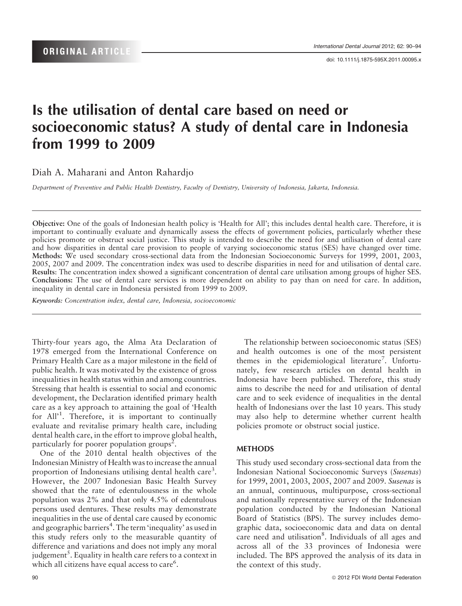# Is the utilisation of dental care based on need or socioeconomic status? A study of dental care in Indonesia from 1999 to 2009

Diah A. Maharani and Anton Rahardjo

Department of Preventive and Public Health Dentistry, Faculty of Dentistry, University of Indonesia, Jakarta, Indonesia.

Objective: One of the goals of Indonesian health policy is 'Health for All'; this includes dental health care. Therefore, it is important to continually evaluate and dynamically assess the effects of government policies, particularly whether these policies promote or obstruct social justice. This study is intended to describe the need for and utilisation of dental care and how disparities in dental care provision to people of varying socioeconomic status (SES) have changed over time. Methods: We used secondary cross-sectional data from the Indonesian Socioeconomic Surveys for 1999, 2001, 2003, 2005, 2007 and 2009. The concentration index was used to describe disparities in need for and utilisation of dental care. Results: The concentration index showed a significant concentration of dental care utilisation among groups of higher SES. Conclusions: The use of dental care services is more dependent on ability to pay than on need for care. In addition, inequality in dental care in Indonesia persisted from 1999 to 2009.

Keywords: Concentration index, dental care, Indonesia, socioeconomic

Thirty-four years ago, the Alma Ata Declaration of 1978 emerged from the International Conference on Primary Health Care as a major milestone in the field of public health. It was motivated by the existence of gross inequalities in health status within and among countries. Stressing that health is essential to social and economic development, the Declaration identified primary health care as a key approach to attaining the goal of 'Health for All'<sup>1</sup>. Therefore, it is important to continually evaluate and revitalise primary health care, including dental health care, in the effort to improve global health, particularly for poorer population groups<sup>2</sup>.

One of the 2010 dental health objectives of the Indonesian Ministry of Health was to increase the annual proportion of Indonesians utilising dental health care<sup>3</sup>. However, the 2007 Indonesian Basic Health Survey showed that the rate of edentulousness in the whole population was 2% and that only 4.5% of edentulous persons used dentures. These results may demonstrate inequalities in the use of dental care caused by economic and geographic barriers<sup>4</sup>. The term 'inequality' as used in this study refers only to the measurable quantity of difference and variations and does not imply any moral judgement<sup>5</sup>. Equality in health care refers to a context in which all citizens have equal access to care<sup>6</sup>.

The relationship between socioeconomic status (SES) and health outcomes is one of the most persistent themes in the epidemiological literature<sup>7</sup>. Unfortunately, few research articles on dental health in Indonesia have been published. Therefore, this study aims to describe the need for and utilisation of dental care and to seek evidence of inequalities in the dental health of Indonesians over the last 10 years. This study may also help to determine whether current health policies promote or obstruct social justice.

# **METHODS**

This study used secondary cross-sectional data from the Indonesian National Socioeconomic Surveys (Susenas) for 1999, 2001, 2003, 2005, 2007 and 2009. Susenas is an annual, continuous, multipurpose, cross-sectional and nationally representative survey of the Indonesian population conducted by the Indonesian National Board of Statistics (BPS). The survey includes demographic data, socioeconomic data and data on dental care need and utilisation<sup>8</sup>. Individuals of all ages and across all of the 33 provinces of Indonesia were included. The BPS approved the analysis of its data in the context of this study.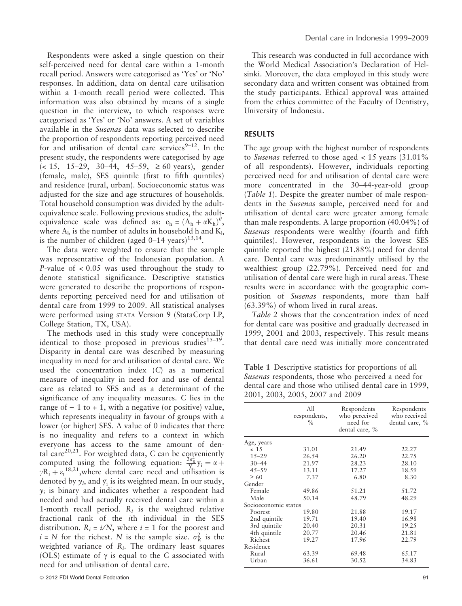Respondents were asked a single question on their self-perceived need for dental care within a 1-month recall period. Answers were categorised as 'Yes' or 'No' responses. In addition, data on dental care utilisation within a 1-month recall period were collected. This information was also obtained by means of a single question in the interview, to which responses were categorised as 'Yes' or 'No' answers. A set of variables available in the Susenas data was selected to describe the proportion of respondents reporting perceived need for and utilisation of dental care services $9-12$ . In the present study, the respondents were categorised by age  $\left( \text{& } 15, \text{ } 15-29, \text{ } 30-44, \text{ } 45-59, \text{ } \geq 60 \text{ years} \right)$ , gender (female, male), SES quintile (first to fifth quintiles) and residence (rural, urban). Socioeconomic status was adjusted for the size and age structures of households. Total household consumption was divided by the adultequivalence scale. Following previous studies, the adultequivalence scale was defined as:  $e_h = (A_h + \alpha K_h)^{\theta}$ , where  $A_h$  is the number of adults in household h and  $K_h$ is the number of children (aged  $0-14$  years)<sup>13,14</sup>.

The data were weighted to ensure that the sample was representative of the Indonesian population. A P-value of < 0.05 was used throughout the study to denote statistical significance. Descriptive statistics were generated to describe the proportions of respondents reporting perceived need for and utilisation of dental care from 1999 to 2009. All statistical analyses were performed using STATA Version 9 (StataCorp LP, College Station, TX, USA).

The methods used in this study were conceptually identical to those proposed in previous studies<sup>15-19</sup>. Disparity in dental care was described by measuring inequality in need for and utilisation of dental care. We used the concentration index (C) as a numerical measure of inequality in need for and use of dental care as related to SES and as a determinant of the significance of any inequality measures. C lies in the range of  $-1$  to  $+ 1$ , with a negative (or positive) value, which represents inequality in favour of groups with a lower (or higher) SES. A value of 0 indicates that there is no inequality and refers to a context in which everyone has access to the same amount of dental care<sup>20,21</sup>. For weighted data, C can be conveniently computed using the following equation:  $\frac{2\sigma_{\rm R}^2}{y_i}$  y<sub>i</sub> =  $\alpha$  +  $\gamma R_i + \varepsilon_i^{18,21}$ , where dental care need and utilisation is denoted by  $y_i$ , and  $\bar{y_i}$  is its weighted mean. In our study,  $y_i$  is binary and indicates whether a respondent had needed and had actually received dental care within a 1-month recall period.  $R_i$  is the weighted relative fractional rank of the ith individual in the SES distribution.  $R_i = i/N$ , where  $i = 1$  for the poorest and  $i = N$  for the richest. N is the sample size.  $\sigma_R^2$  is the weighted variance of  $R_i$ . The ordinary least squares (OLS) estimate of  $\gamma$  is equal to the C associated with need for and utilisation of dental care.

This research was conducted in full accordance with the World Medical Association's Declaration of Helsinki. Moreover, the data employed in this study were secondary data and written consent was obtained from the study participants. Ethical approval was attained from the ethics committee of the Faculty of Dentistry, University of Indonesia.

### **RESULTS**

The age group with the highest number of respondents to Susenas referred to those aged  $< 15$  years  $(31.01\%$ of all respondents). However, individuals reporting perceived need for and utilisation of dental care were more concentrated in the 30–44-year-old group (Table 1). Despite the greater number of male respondents in the Susenas sample, perceived need for and utilisation of dental care were greater among female than male respondents. A large proportion (40.04%) of Susenas respondents were wealthy (fourth and fifth quintiles). However, respondents in the lowest SES quintile reported the highest (21.88%) need for dental care. Dental care was predominantly utilised by the wealthiest group (22.79%). Perceived need for and utilisation of dental care were high in rural areas. These results were in accordance with the geographic composition of Susenas respondents, more than half (63.39%) of whom lived in rural areas.

Table 2 shows that the concentration index of need for dental care was positive and gradually decreased in 1999, 2001 and 2003, respectively. This result means that dental care need was initially more concentrated

Table 1 Descriptive statistics for proportions of all Susenas respondents, those who perceived a need for dental care and those who utilised dental care in 1999, 2001, 2003, 2005, 2007 and 2009

|                      | All<br>respondents,<br>$\%$ | Respondents<br>who perceived<br>need for<br>dental care, % | Respondents<br>who received<br>dental care, % |  |
|----------------------|-----------------------------|------------------------------------------------------------|-----------------------------------------------|--|
| Age, years           |                             |                                                            |                                               |  |
| ~15                  | 31.01                       | 21.49                                                      | 22.27                                         |  |
| $15 - 29$            | 26.54                       | 26.20                                                      | 22.75                                         |  |
| $30 - 44$            | 21.97                       | 28.23                                                      | 28.10                                         |  |
| $45 - 59$            | 13.11                       | 17.27                                                      | 18.59                                         |  |
| $\geq 60$            | 7.37                        | 6.80                                                       | 8.30                                          |  |
| Gender               |                             |                                                            |                                               |  |
| Female               | 49.86                       | 51.21                                                      | 51.72                                         |  |
| Male                 | 50.14                       | 48.79                                                      | 48.29                                         |  |
| Socioeconomic status |                             |                                                            |                                               |  |
| Poorest              | 19.80                       | 21.88                                                      | 19.17                                         |  |
| 2nd quintile         | 19.71                       | 19.40                                                      | 16.98                                         |  |
| 3rd quintile         | 20.40                       | 20.31                                                      | 19.25                                         |  |
| 4th quintile         | 20.77                       | 20.46                                                      | 21.81                                         |  |
| Richest<br>19.27     |                             | 17.96                                                      | 22.79                                         |  |
| Residence            |                             |                                                            |                                               |  |
| Rural                | 63.39                       | 69.48                                                      | 65.17                                         |  |
| Urban                | 36.61                       | 30.52                                                      | 34.83                                         |  |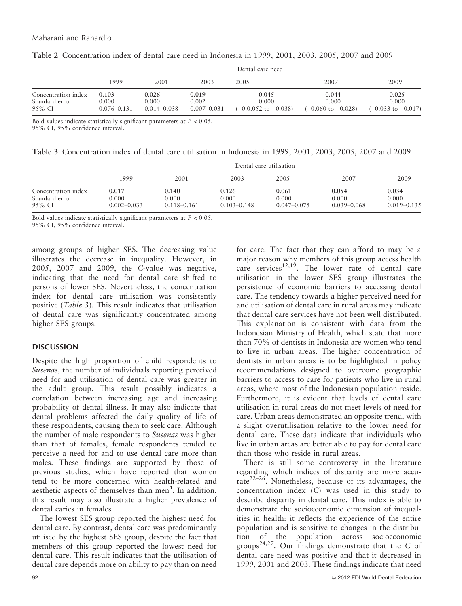|                                                 | Dental care need                  |                                   |                                   |                                                      |                                                    |                                                    |  |
|-------------------------------------------------|-----------------------------------|-----------------------------------|-----------------------------------|------------------------------------------------------|----------------------------------------------------|----------------------------------------------------|--|
|                                                 | 1999                              | 2001                              | 2003                              | 2005                                                 | 2007                                               | 2009                                               |  |
| Concentration index<br>Standard error<br>95% CI | 0.103<br>0.000<br>$0.076 - 0.131$ | 0.026<br>0.000<br>$0.014 - 0.038$ | 0.019<br>0.002<br>$0.007 - 0.031$ | $-0.045$<br>0.000<br>$(-0.0.052 \text{ to } -0.038)$ | $-0.044$<br>0.000<br>$(-0.060 \text{ to } -0.028)$ | $-0.025$<br>0.000<br>$(-0.033 \text{ to } -0.017)$ |  |

Table 2 Concentration index of dental care need in Indonesia in 1999, 2001, 2003, 2005, 2007 and 2009

Bold values indicate statistically significant parameters at  $P < 0.05$ .

95% CI, 95% confidence interval.

|  |  |  | Table 3 Concentration index of dental care utilisation in Indonesia in 1999, 2001, 2003, 2005, 2007 and 2009 |  |  |  |  |  |
|--|--|--|--------------------------------------------------------------------------------------------------------------|--|--|--|--|--|
|--|--|--|--------------------------------------------------------------------------------------------------------------|--|--|--|--|--|

|                                                 |                                   | Dental care utilisation           |                                   |                                   |                                   |                                   |  |
|-------------------------------------------------|-----------------------------------|-----------------------------------|-----------------------------------|-----------------------------------|-----------------------------------|-----------------------------------|--|
|                                                 | 1999                              | 2001                              | 2003                              | 2005                              | 2007                              | 2009                              |  |
| Concentration index<br>Standard error<br>95% CI | 0.017<br>0.000<br>$0.002 - 0.033$ | 0.140<br>0.000<br>$0.118 - 0.161$ | 0.126<br>0.000<br>$0.103 - 0.148$ | 0.061<br>0.000<br>$0.047 - 0.075$ | 0.054<br>0.000<br>$0.039 - 0.068$ | 0.034<br>0.000<br>$0.019 - 0.135$ |  |

Bold values indicate statistically significant parameters at  $P < 0.05$ .

95% CI, 95% confidence interval.

among groups of higher SES. The decreasing value illustrates the decrease in inequality. However, in 2005, 2007 and 2009, the C-value was negative, indicating that the need for dental care shifted to persons of lower SES. Nevertheless, the concentration index for dental care utilisation was consistently positive (Table 3). This result indicates that utilisation of dental care was significantly concentrated among higher SES groups.

# DISCUSSION

Despite the high proportion of child respondents to Susenas, the number of individuals reporting perceived need for and utilisation of dental care was greater in the adult group. This result possibly indicates a correlation between increasing age and increasing probability of dental illness. It may also indicate that dental problems affected the daily quality of life of these respondents, causing them to seek care. Although the number of male respondents to Susenas was higher than that of females, female respondents tended to perceive a need for and to use dental care more than males. These findings are supported by those of previous studies, which have reported that women tend to be more concerned with health-related and aesthetic aspects of themselves than men<sup>4</sup>. In addition, this result may also illustrate a higher prevalence of dental caries in females.

The lowest SES group reported the highest need for dental care. By contrast, dental care was predominantly utilised by the highest SES group, despite the fact that members of this group reported the lowest need for dental care. This result indicates that the utilisation of dental care depends more on ability to pay than on need

for care. The fact that they can afford to may be a major reason why members of this group access health care services<sup>12,19</sup>. The lower rate of dental care utilisation in the lower SES group illustrates the persistence of economic barriers to accessing dental care. The tendency towards a higher perceived need for and utilisation of dental care in rural areas may indicate that dental care services have not been well distributed. This explanation is consistent with data from the Indonesian Ministry of Health, which state that more than 70% of dentists in Indonesia are women who tend to live in urban areas. The higher concentration of dentists in urban areas is to be highlighted in policy recommendations designed to overcome geographic barriers to access to care for patients who live in rural areas, where most of the Indonesian population reside. Furthermore, it is evident that levels of dental care utilisation in rural areas do not meet levels of need for care. Urban areas demonstrated an opposite trend, with a slight overutilisation relative to the lower need for dental care. These data indicate that individuals who live in urban areas are better able to pay for dental care than those who reside in rural areas.

There is still some controversy in the literature regarding which indices of disparity are more accurate<sup>22–26</sup>. Nonetheless, because of its advantages, the concentration index (C) was used in this study to describe disparity in dental care. This index is able to demonstrate the socioeconomic dimension of inequalities in health: it reflects the experience of the entire population and is sensitive to changes in the distribution of the population across socioeconomic groups<sup>24,27</sup>. Our findings demonstrate that the C of dental care need was positive and that it decreased in 1999, 2001 and 2003. These findings indicate that need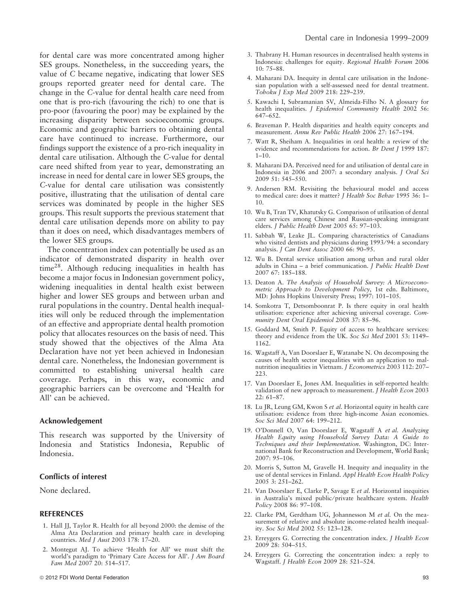for dental care was more concentrated among higher SES groups. Nonetheless, in the succeeding years, the value of C became negative, indicating that lower SES groups reported greater need for dental care. The change in the C-value for dental health care need from one that is pro-rich (favouring the rich) to one that is pro-poor (favouring the poor) may be explained by the increasing disparity between socioeconomic groups. Economic and geographic barriers to obtaining dental care have continued to increase. Furthermore, our findings support the existence of a pro-rich inequality in dental care utilisation. Although the C-value for dental care need shifted from year to year, demonstrating an increase in need for dental care in lower SES groups, the C-value for dental care utilisation was consistently positive, illustrating that the utilisation of dental care services was dominated by people in the higher SES groups. This result supports the previous statement that dental care utilisation depends more on ability to pay than it does on need, which disadvantages members of the lower SES groups.

The concentration index can potentially be used as an indicator of demonstrated disparity in health over  $time^{28}$ . Although reducing inequalities in health has become a major focus in Indonesian government policy, widening inequalities in dental health exist between higher and lower SES groups and between urban and rural populations in the country. Dental health inequalities will only be reduced through the implementation of an effective and appropriate dental health promotion policy that allocates resources on the basis of need. This study showed that the objectives of the Alma Ata Declaration have not yet been achieved in Indonesian dental care. Nonetheless, the Indonesian government is committed to establishing universal health care coverage. Perhaps, in this way, economic and geographic barriers can be overcome and 'Health for All' can be achieved.

#### Acknowledgement

This research was supported by the University of Indonesia and Statistics Indonesia, Republic of Indonesia.

#### Conflicts of interest

None declared.

#### **REFERENCES**

- 1. Hall JJ, Taylor R. Health for all beyond 2000: the demise of the Alma Ata Declaration and primary health care in developing countries. Med J Aust 2003 178: 17–20.
- 2. Montegut AJ. To achieve 'Health for All' we must shift the world's paradigm to 'Primary Care Access for All'. J Am Board Fam Med 2007 20: 514–517.
- 3. Thabrany H. Human resources in decentralised health systems in Indonesia: challenges for equity. Regional Health Forum 2006 10: 75–88.
- 4. Maharani DA. Inequity in dental care utilisation in the Indonesian population with a self-assessed need for dental treatment. Tohoku J Exp Med 2009 218: 229–239.
- 5. Kawachi I, Subramanian SV, Almeida-Filho N. A glossary for health inequalities. J Epidemiol Community Health 2002 56: 647–652.
- 6. Braveman P. Health disparities and health equity concepts and measurement. Annu Rev Public Health 2006 27: 167–194.
- 7. Watt R, Sheiham A. Inequalities in oral health: a review of the evidence and recommendations for action. Br Dent J 1999 187:  $1 - 10$ .
- 8. Maharani DA. Perceived need for and utilisation of dental care in Indonesia in 2006 and 2007: a secondary analysis. J Oral Sci 2009 51: 545–550.
- 9. Andersen RM. Revisiting the behavioural model and access to medical care: does it matter? J Health Soc Behav 1995 36: 1-10.
- 10. Wu B, Tran TV, Khatutsky G. Comparison of utilisation of dental care services among Chinese and Russian-speaking immigrant elders. J Public Health Dent 2005 65: 97–103.
- 11. Sabbah W, Leake JL. Comparing characteristics of Canadians who visited dentists and physicians during 1993/94: a secondary analysis. J Can Dent Assoc 2000 66: 90–95.
- 12. Wu B. Dental service utilisation among urban and rural older adults in China – a brief communication. J Public Health Dent 2007 67: 185–188.
- 13. Deaton A. The Analysis of Household Survey: A Microeconometric Approach to Development Policy, 1st edn. Baltimore, MD: Johns Hopkins University Press; 1997: 101–105.
- 14. Somkotra T, Detsomboonrat P. Is there equity in oral health utilisation: experience after achieving universal coverage. Community Dent Oral Epidemiol 2008 37: 85–96.
- 15. Goddard M, Smith P. Equity of access to healthcare services: theory and evidence from the UK. Soc Sci Med 2001 53: 1149– 1162.
- 16. Wagstaff A, Van Doorslaer E, Watanabe N. On decomposing the causes of health sector inequalities with an application to malnutrition inequalities in Vietnam. J Econometrics 2003 112: 207– 223.
- 17. Van Doorslaer E, Jones AM. Inequalities in self-reported health: validation of new approach to measurement. *J Health Econ* 2003 22: 61–87.
- 18. Lu JR, Leung GM, Kwon S et al. Horizontal equity in health care utilisation: evidence from three high-income Asian economies. Soc Sci Med 2007 64: 199–212.
- 19. O'Donnell O, Van Doorslaer E, Wagstaff A et al. Analyzing Health Equity using Household Survey Data: A Guide to Techniques and their Implementation. Washington, DC: International Bank for Reconstruction and Development, World Bank; 2007: 95–106.
- 20. Morris S, Sutton M, Gravelle H. Inequity and inequality in the use of dental services in Finland. Appl Health Econ Health Policy 2005 3: 251–262.
- 21. Van Doorslaer E, Clarke P, Savage E et al. Horizontal inequities in Australia's mixed public/private healthcare system. Health Policy 2008 86: 97–108.
- 22. Clarke PM, Gerdtham UG, Johannesson M et al. On the measurement of relative and absolute income-related health inequality. Soc Sci Med 2002 55: 123–128.
- 23. Erreygers G. Correcting the concentration index. J Health Econ 2009 28: 504–515.
- 24. Erreygers G. Correcting the concentration index: a reply to Wagstaff. J Health Econ 2009 28: 521–524.